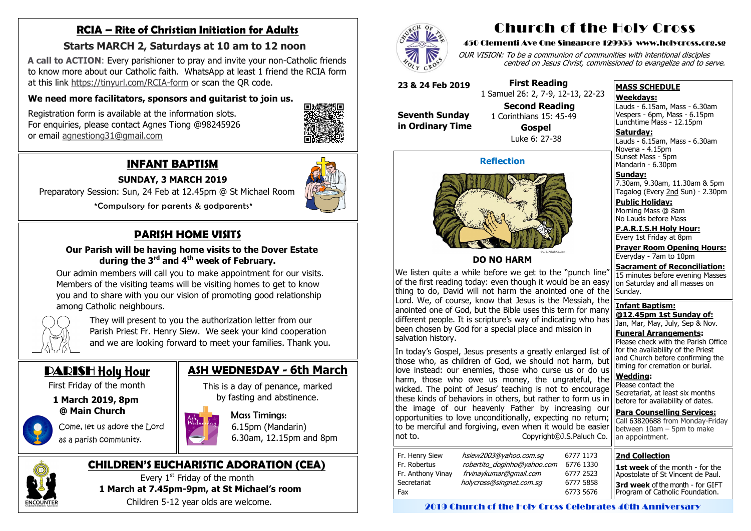# **RCIA – Rite of Christian Initiation for Adults**

### **Starts MARCH 2, Saturdays at 10 am to 12 noon**

 **A call to ACTION**: Every parishioner to pray and invite your non-Catholic friends to know more about our Catholic faith. WhatsApp at least 1 friend the RCIA form at this link [https://tinyurl.com/RCIA](https://tinyurl.com/RCIA-form)-form or scan the QR code.

### **We need more facilitators, sponsors and guitarist to join us.**

 Registration form is available at the information slots. For enquiries, please contact Agnes Tiong @98245926 or email [agnestiong31@gmail.com](mailto:agnestiong31@gmail.com)



# **INFANT BAPTISM**

**SUNDAY, 3 MARCH 2019**

Preparatory Session: Sun, 24 Feb at 12.45pm @ St Michael Room

\*Compulsory for parents & godparents\*

# **PARISH HOME VISITS**

### **Our Parish will be having home visits to the Dover Estate during the 3rd and 4th week of February.**

Every  $1<sup>st</sup>$  Friday of the month **1 March at 7.45pm-9pm, at St Michael's room** Children 5-12 year olds are welcome.



This is a day of penance, marked by fasting and abstinence.  $\overline{\phantom{a}}$ 



 Our admin members will call you to make appointment for our visits. Members of the visiting teams will be visiting homes to get to know you and to share with you our vision of promoting good relationship among Catholic neighbours.



Lauds - 6.15am, Mass - 6.30am Novena - 4.15pm Sunset Mass - 5pm Mandarin - 6.30pm

 They will present to you the authorization letter from our Parish Priest Fr. Henry Siew. We seek your kind cooperation and we are looking forward to meet your families. Thank you.

# DARISH Holy Hour

First Friday of the month

### **1 March 2019, 8pm @ Main Church**

 Come, let us adore the Lord as a parish community.

# **CHILDREN'S EUCHARISTIC ADORATION (CEA)**

# **ASH WEDNESDAY - 6th March**

 Mass Timings: 6.15pm (Mandarin) 6.30am, 12.15pm and 8pm



# Church of the Holy Cross

### 450 Clementi Ave One Singapore 129955 www.holycross.org.sg

OUR VISION: To be a communion of communities with intentional disciples centred on Jesus Christ, commissioned to evangelize and to serve.

#### **MASS SCHEDULE**

#### **Weekdays:**

Lauds - 6.15am, Mass - 6.30am Vespers - 6pm, Mass - 6.15pm Lunchtime Mass - 12.15pm

**Saturday:**

**Sunday:** 7.30am, 9.30am, 11.30am & 5pm Tagalog (Every 2nd Sun) - 2.30pm

**Public Holiday:**  Morning Mass @ 8am No Lauds before Mass

**P.A.R.I.S.H Holy Hour:** Every 1st Friday at 8pm

**Prayer Room Opening Hours:** Everyday - 7am to 10pm

**Sacrament of Reconciliation:** 15 minutes before evening Masses

Please check with the Parish Office for the availability of the Priest and Church before confirming the timing for cremation or burial.

**Wedding:**  Please contact the Secretariat, at least six months before for availability of dates.

**Para Counselling Services:** Call [63820688](tel:+6563820688) from Monday-Friday between 10am – 5pm to make an appointment.

on Saturday and all masses on Sunday. **Infant Baptism: @12.45pm 1st Sunday of:** Jan, Mar, May, July, Sep & Nov. **Funeral Arrangements:**  We listen quite a while before we get to the "punch line" of the first reading today: even though it would be an easy thing to do, David will not harm the anointed one of the Lord. We, of course, know that Jesus is the Messiah, the anointed one of God, but the Bible uses this term for many different people. It is scripture's way of indicating who has been chosen by God for a special place and mission in salvation history.

In today's Gospel, Jesus presents a greatly enlarged list of those who, as children of God, we should not harm, but love instead: our enemies, those who curse us or do us harm, those who owe us money, the ungrateful, the wicked. The point of Jesus' teaching is not to encourage these kinds of behaviors in others, but rather to form us in the image of our heavenly Father by increasing our opportunities to love unconditionally, expecting no return; to be merciful and forgiving, even when it would be easier not to. Copyright©J.S.Paluch Co.

| Fr. Henry Siew<br>Fr. Robertus<br>Fr. Anthony Vinay<br>Secretariat | hsiew2003@yahoo.com.sg<br>robertito doginho@yahoo.com<br>frvinaykumar@gmail.com<br>holycross@singnet.com.sq |  |
|--------------------------------------------------------------------|-------------------------------------------------------------------------------------------------------------|--|
| Fax                                                                |                                                                                                             |  |

### **Reflection**



### **DO NO HARM**

**23 & 24 Feb 2019**

**Seventh Sunday in Ordinary Time**

 **First Reading** 1 Samuel 26: 2, 7-9, 12-13, 22-23

**Second Reading**



 1 Corinthians 15: 45-49 **Gospel** Luke 6: 27-38

#### **2nd Collection**

**1st week** of the month - for the Apostolate of St Vincent de Paul. **3rd week** of the month - for GIFT Program of Catholic Foundation.

2019 Church of the Holy Cross Celebrates 40th Anniversary